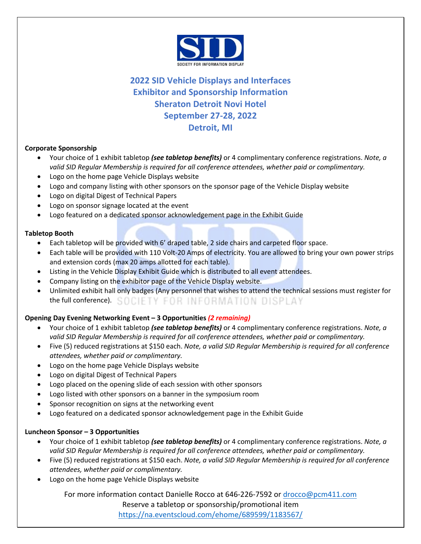

# **2022 SID Vehicle Displays and Interfaces Exhibitor and Sponsorship Information Sheraton Detroit Novi Hotel September 27-28, 2022 Detroit, MI**

# **Corporate Sponsorship**

- Your choice of 1 exhibit tabletop *(see tabletop benefits)* or 4 complimentary conference registrations. *Note, a valid SID Regular Membership is required for all conference attendees, whether paid or complimentary.*
- Logo on the home page Vehicle Displays website
- Logo and company listing with other sponsors on the sponsor page of the Vehicle Display website
- Logo on digital Digest of Technical Papers
- Logo on sponsor signage located at the event
- Logo featured on a dedicated sponsor acknowledgement page in the Exhibit Guide

# **Tabletop Booth**

- Each tabletop will be provided with 6' draped table, 2 side chairs and carpeted floor space.
- Each table will be provided with 110 Volt-20 Amps of electricity. You are allowed to bring your own power strips and extension cords (max 20 amps allotted for each table).
- Listing in the Vehicle Display Exhibit Guide which is distributed to all event attendees.
- Company listing on the exhibitor page of the Vehicle Display website.
- Unlimited exhibit hall only badges (Any personnel that wishes to attend the technical sessions must register for the full conference). SOCIETY FOR INFORMATION DISPLAY

# **Opening Day Evening Networking Event – 3 Opportunities** *(2 remaining)*

- Your choice of 1 exhibit tabletop *(see tabletop benefits)* or 4 complimentary conference registrations. *Note, a valid SID Regular Membership is required for all conference attendees, whether paid or complimentary.*
- Five (5) reduced registrations at \$150 each. *Note, a valid SID Regular Membership is required for all conference attendees, whether paid or complimentary.*
- Logo on the home page Vehicle Displays website
- Logo on digital Digest of Technical Papers
- Logo placed on the opening slide of each session with other sponsors
- Logo listed with other sponsors on a banner in the symposium room
- Sponsor recognition on signs at the networking event
- Logo featured on a dedicated sponsor acknowledgement page in the Exhibit Guide

# **Luncheon Sponsor – 3 Opportunities**

- Your choice of 1 exhibit tabletop *(see tabletop benefits)* or 4 complimentary conference registrations. *Note, a valid SID Regular Membership is required for all conference attendees, whether paid or complimentary.*
- Five (5) reduced registrations at \$150 each. *Note, a valid SID Regular Membership is required for all conference attendees, whether paid or complimentary.*
- Logo on the home page Vehicle Displays website

For more information contact Danielle Rocco at 646-226-7592 or drocco@pcm411.com Reserve a tabletop or sponsorship/promotional item https://na.eventscloud.com/ehome/689599/1183567/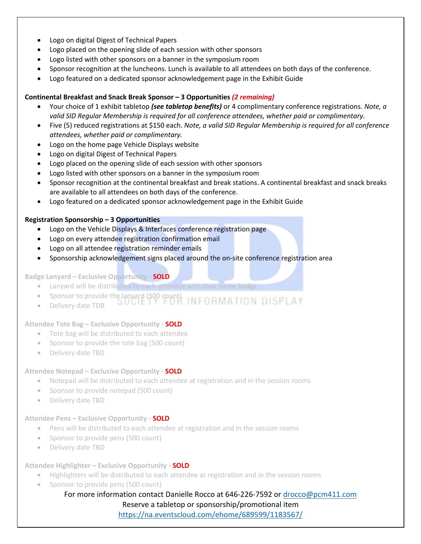- Logo on digital Digest of Technical Papers
- Logo placed on the opening slide of each session with other sponsors
- Logo listed with other sponsors on a banner in the symposium room
- Sponsor recognition at the luncheons. Lunch is available to all attendees on both days of the conference.
- Logo featured on a dedicated sponsor acknowledgement page in the Exhibit Guide

#### **Continental Breakfast and Snack Break Sponsor – 3 Opportunities** *(2 remaining)*

- Your choice of 1 exhibit tabletop *(see tabletop benefits)* or 4 complimentary conference registrations. *Note, a valid SID Regular Membership is required for all conference attendees, whether paid or complimentary.*
- Five (5) reduced registrations at \$150 each. *Note, a valid SID Regular Membership is required for all conference attendees, whether paid or complimentary.*
- Logo on the home page Vehicle Displays website
- Logo on digital Digest of Technical Papers
- Logo placed on the opening slide of each session with other sponsors
- Logo listed with other sponsors on a banner in the symposium room
- Sponsor recognition at the continental breakfast and break stations. A continental breakfast and snack breaks are available to all attendees on both days of the conference.
- Logo featured on a dedicated sponsor acknowledgement page in the Exhibit Guide

#### **Registration Sponsorship – 3 Opportunities**

- Logo on the Vehicle Displays & Interfaces conference registration page
- Logo on every attendee registration confirmation email
- Logo on all attendee registration reminder emails
- Sponsorship acknowledgement signs placed around the on-site conference registration area

#### **Badge Lanyard – Exclusive Opportunity - SOLD**

- Lanyard will be distributed to each attendee with their name badge
- Sponsor to provide the lanyard (500 count)
- Delivery date TDB

#### **Attendee Tote Bag – Exclusive Opportunity - SOLD**

- Tote bag will be distributed to each attendee
- Sponsor to provide the tote bag (500 count)
- Delivery date TBD

# **Attendee Notepad – Exclusive Opportunity - SOLD**

- Notepad will be distributed to each attendee at registration and in the session rooms
- Sponsor to provide notepad (500 count)
- Delivery date TBD

#### **Attendee Pens – Exclusive Opportunity - SOLD**

- Pens will be distributed to each attendee at registration and in the session rooms
- Sponsor to provide pens (500 count)
- Delivery date TBD

#### **Attendee Highlighter – Exclusive Opportunity - SOLD**

- Highlighters will be distributed to each attendee at registration and in the session rooms
- Sponsor to provide pens (500 count)

# For more information contact Danielle Rocco at 646-226-7592 or drocco@pcm411.com Reserve a tabletop or sponsorship/promotional item

https://na.eventscloud.com/ehome/689599/1183567/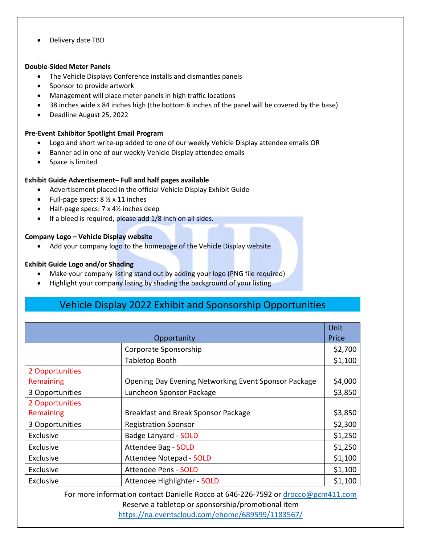• Delivery date TBD

#### **Double-Sided Meter Panels**

- The Vehicle Displays Conference installs and dismantles panels
- Sponsor to provide artwork
- Management will place meter panels in high traffic locations
- 38 inches wide x 84 inches high (the bottom 6 inches of the panel will be covered by the base)
- Deadline August 25, 2022

# **Pre-Event Exhibitor Spotlight Email Program**

- Logo and short write-up added to one of our weekly Vehicle Display attendee emails OR
- Banner ad in one of our weekly Vehicle Display attendee emails
- Space is limited

# **Exhibit Guide Advertisement– Full and half pages available**

- Advertisement placed in the official Vehicle Display Exhibit Guide
- Full-page specs: 8 ½ x 11 inches
- Half-page specs: 7 x 4½ inches deep
- If a bleed is required, please add 1/8 inch on all sides.

# **Company Logo – Vehicle Display website**

• Add your company logo to the homepage of the Vehicle Display website

# **Exhibit Guide Logo and/or Shading**

- Make your company listing stand out by adding your logo (PNG file required)
- Highlight your company listing by shading the background of your listing

# Vehicle Display 2022 Exhibit and Sponsorship Opportunities

|                 |                                                      | Unit    |
|-----------------|------------------------------------------------------|---------|
| Opportunity     |                                                      | Price   |
|                 | Corporate Sponsorship                                | \$2,700 |
|                 | Tabletop Booth                                       | \$1,100 |
| 2 Opportunities |                                                      |         |
| Remaining       | Opening Day Evening Networking Event Sponsor Package | \$4,000 |
| 3 Opportunities | Luncheon Sponsor Package                             | \$3,850 |
| 2 Opportunities |                                                      |         |
| Remaining       | Breakfast and Break Sponsor Package                  | \$3,850 |
| 3 Opportunities | <b>Registration Sponsor</b>                          | \$2,300 |
| Exclusive       | <b>Badge Lanyard - SOLD</b>                          | \$1,250 |
| Exclusive       | Attendee Bag - SOLD                                  | \$1,250 |
| Exclusive       | <b>Attendee Notepad - SOLD</b>                       | \$1,100 |
| Exclusive       | <b>Attendee Pens - SOLD</b>                          | \$1,100 |
| Exclusive       | Attendee Highlighter - SOLD                          | \$1,100 |

For more information contact Danielle Rocco at 646-226-7592 or drocco@pcm411.com Reserve a tabletop or sponsorship/promotional item https://na.eventscloud.com/ehome/689599/1183567/